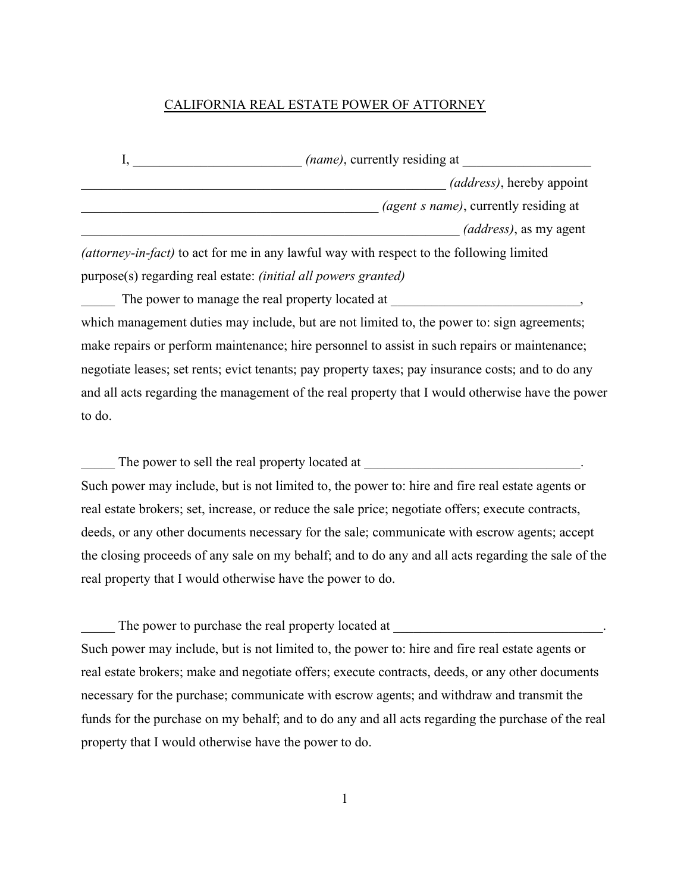#### CALIFORNIA REAL ESTATE POWER OF ATTORNEY

| <i>(name)</i> , currently residing at         |
|-----------------------------------------------|
| <i>(address)</i> , hereby appoint             |
| <i>(agent s name)</i> , currently residing at |
| (address), as my agent                        |

*(attorney-in-fact)* to act for me in any lawful way with respect to the following limited purpose(s) regarding real estate: *(initial all powers granted)* 

The power to manage the real property located at  $\cdot$ which management duties may include, but are not limited to, the power to: sign agreements; make repairs or perform maintenance; hire personnel to assist in such repairs or maintenance; negotiate leases; set rents; evict tenants; pay property taxes; pay insurance costs; and to do any and all acts regarding the management of the real property that I would otherwise have the power to do.

The power to sell the real property located at Such power may include, but is not limited to, the power to: hire and fire real estate agents or

real estate brokers; set, increase, or reduce the sale price; negotiate offers; execute contracts, deeds, or any other documents necessary for the sale; communicate with escrow agents; accept the closing proceeds of any sale on my behalf; and to do any and all acts regarding the sale of the real property that I would otherwise have the power to do.

The power to purchase the real property located at Such power may include, but is not limited to, the power to: hire and fire real estate agents or real estate brokers; make and negotiate offers; execute contracts, deeds, or any other documents necessary for the purchase; communicate with escrow agents; and withdraw and transmit the funds for the purchase on my behalf; and to do any and all acts regarding the purchase of the real property that I would otherwise have the power to do.

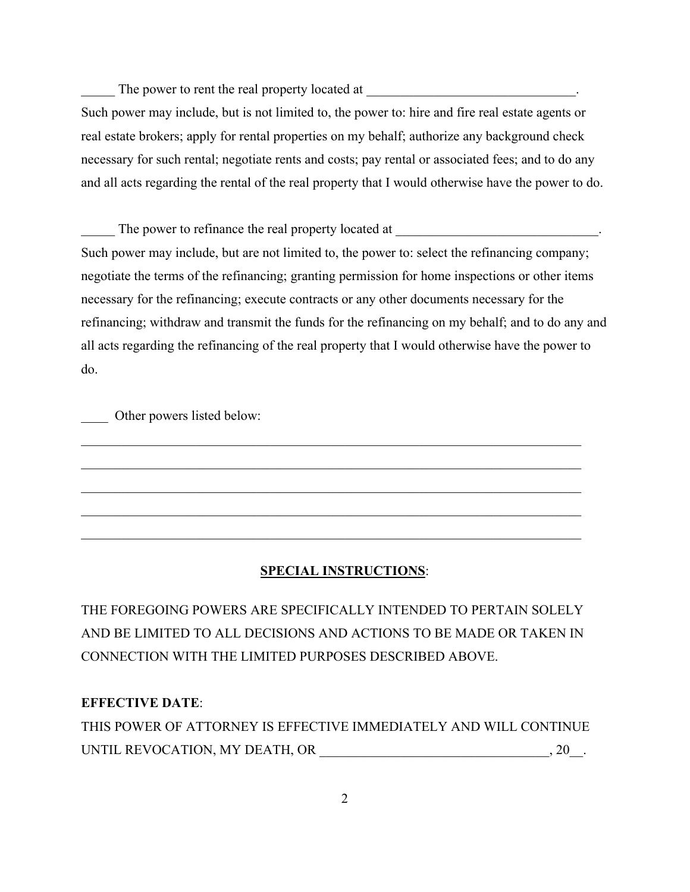The power to rent the real property located at

Such power may include, but is not limited to, the power to: hire and fire real estate agents or real estate brokers; apply for rental properties on my behalf; authorize any background check necessary for such rental; negotiate rents and costs; pay rental or associated fees; and to do any and all acts regarding the rental of the real property that I would otherwise have the power to do.

The power to refinance the real property located at Such power may include, but are not limited to, the power to: select the refinancing company; negotiate the terms of the refinancing; granting permission for home inspections or other items necessary for the refinancing; execute contracts or any other documents necessary for the refinancing; withdraw and transmit the funds for the refinancing on my behalf; and to do any and all acts regarding the refinancing of the real property that I would otherwise have the power to do.

Other powers listed below:

## **SPECIAL INSTRUCTIONS**:

\_\_\_\_\_\_\_\_\_\_\_\_\_\_\_\_\_\_\_\_\_\_\_\_\_\_\_\_\_\_\_\_\_\_\_\_\_\_\_\_\_\_\_\_\_\_\_\_\_\_\_\_\_\_\_\_\_\_\_\_\_\_\_\_\_\_\_\_\_\_\_\_\_\_

\_\_\_\_\_\_\_\_\_\_\_\_\_\_\_\_\_\_\_\_\_\_\_\_\_\_\_\_\_\_\_\_\_\_\_\_\_\_\_\_\_\_\_\_\_\_\_\_\_\_\_\_\_\_\_\_\_\_\_\_\_\_\_\_\_\_\_\_\_\_\_\_\_\_

 $\mathcal{L}_\mathcal{L} = \mathcal{L}_\mathcal{L} = \mathcal{L}_\mathcal{L} = \mathcal{L}_\mathcal{L} = \mathcal{L}_\mathcal{L} = \mathcal{L}_\mathcal{L} = \mathcal{L}_\mathcal{L} = \mathcal{L}_\mathcal{L} = \mathcal{L}_\mathcal{L} = \mathcal{L}_\mathcal{L} = \mathcal{L}_\mathcal{L} = \mathcal{L}_\mathcal{L} = \mathcal{L}_\mathcal{L} = \mathcal{L}_\mathcal{L} = \mathcal{L}_\mathcal{L} = \mathcal{L}_\mathcal{L} = \mathcal{L}_\mathcal{L}$ 

THE FOREGOING POWERS ARE SPECIFICALLY INTENDED TO PERTAIN SOLELY AND BE LIMITED TO ALL DECISIONS AND ACTIONS TO BE MADE OR TAKEN IN CONNECTION WITH THE LIMITED PURPOSES DESCRIBED ABOVE.

# **EFFECTIVE DATE**:

THIS POWER OF ATTORNEY IS EFFECTIVE IMMEDIATELY AND WILL CONTINUE UNTIL REVOCATION, MY DEATH, OR \_\_\_\_\_\_\_\_\_\_\_\_\_\_\_\_\_\_\_\_\_\_\_\_\_\_\_\_\_\_\_\_\_\_, 20\_\_.

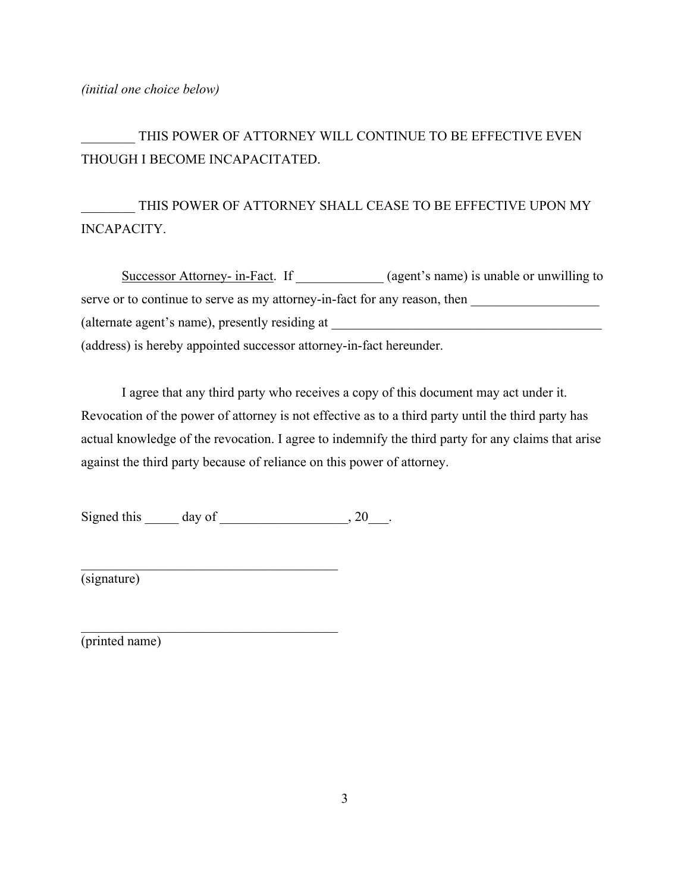#### *(initial one choice below)*

THIS POWER OF ATTORNEY WILL CONTINUE TO BE EFFECTIVE EVEN THOUGH I BECOME INCAPACITATED.

THIS POWER OF ATTORNEY SHALL CEASE TO BE EFFECTIVE UPON MY INCAPACITY.

Successor Attorney- in-Fact. If \_\_\_\_\_\_\_\_\_\_ (agent's name) is unable or unwilling to serve or to continue to serve as my attorney-in-fact for any reason, then (alternate agent's name), presently residing at (address) is hereby appointed successor attorney-in-fact hereunder.

I agree that any third party who receives a copy of this document may act under it. Revocation of the power of attorney is not effective as to a third party until the third party has actual knowledge of the revocation. I agree to indemnify the third party for any claims that arise against the third party because of reliance on this power of attorney.

Signed this day of 3.20 and  $\frac{1}{2}$ , 20 and  $\frac{1}{2}$ 

\_\_\_\_\_\_\_\_\_\_\_\_\_\_\_\_\_\_\_\_\_\_\_\_\_\_\_\_\_\_\_\_\_\_\_\_\_\_

(signature)

(printed name)

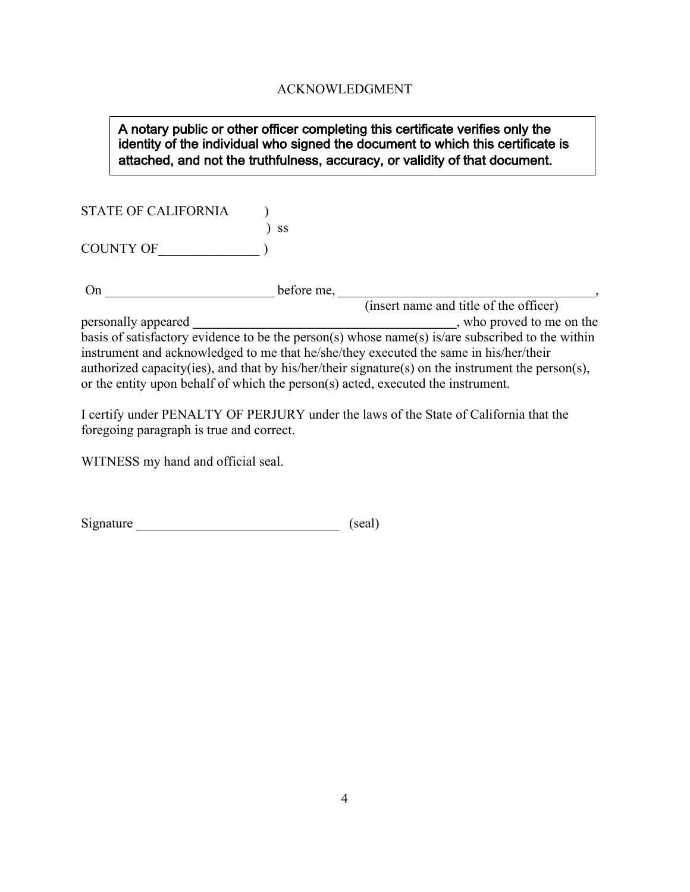## ACKNOWLEDGMENT

## A notary public or other officer completing this certificate verifies only the identity of the individual who signed the document to which this certificate is attached, and not the truthfulness, accuracy, or validity of that document.

STATE OF CALIFORNIA )

COUNTY OF\_\_\_\_\_\_\_\_\_\_\_\_\_\_\_ )

) ss

On \_\_\_\_\_\_\_\_\_\_\_\_\_\_\_\_\_\_\_\_\_\_\_\_\_ before me, \_\_\_\_\_\_\_\_\_\_\_\_\_\_\_\_\_\_\_\_\_\_\_\_\_\_\_\_\_\_\_\_\_\_\_\_\_\_,

(insert name and title of the officer) personally appeared **\_\_\_\_\_\_\_\_\_\_\_\_\_\_\_\_\_\_\_\_\_\_\_\_\_\_\_\_\_\_\_\_\_\_\_\_\_\_\_**, who proved to me on the basis of satisfactory evidence to be the person(s) whose name(s) is/are subscribed to the within instrument and acknowledged to me that he/she/they executed the same in his/her/their authorized capacity(ies), and that by his/her/their signature(s) on the instrument the person(s), or the entity upon behalf of which the person(s) acted, executed the instrument.

I certify under PENALTY OF PERJURY under the laws of the State of California that the foregoing paragraph is true and correct.

WITNESS my hand and official seal.

| Signature | (scal) |
|-----------|--------|
|-----------|--------|